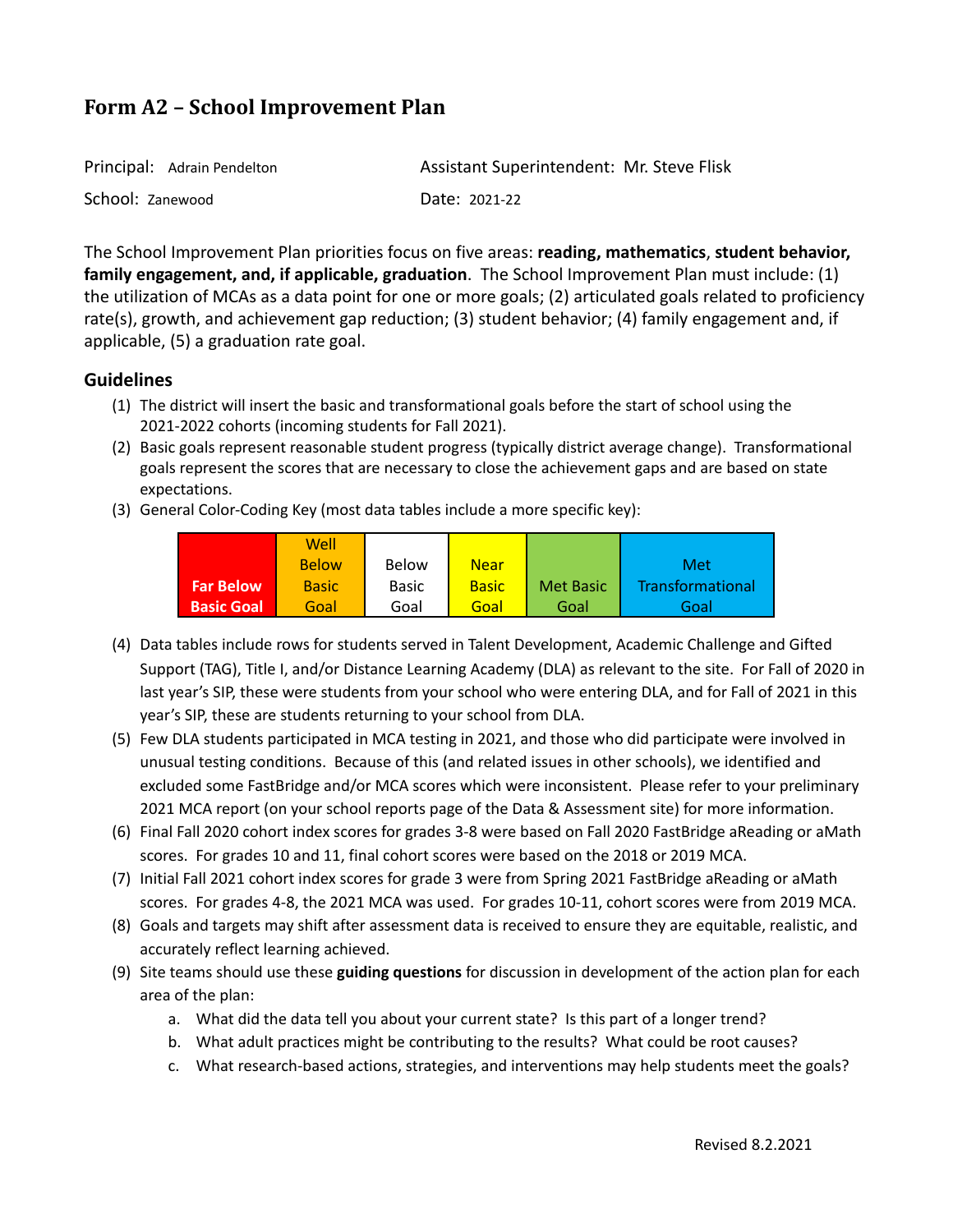| Principal: Adrain Pendelton | Assistant Superintendent: Mr. Steve Flisk |
|-----------------------------|-------------------------------------------|
| School: Zanewood            | Date: 2021-22                             |

The School Improvement Plan priorities focus on five areas: **reading, mathematics**, **student behavior, family engagement, and, if applicable, graduation**. The School Improvement Plan must include: (1) the utilization of MCAs as a data point for one or more goals; (2) articulated goals related to proficiency rate(s), growth, and achievement gap reduction; (3) student behavior; (4) family engagement and, if applicable, (5) a graduation rate goal.

# **Guidelines**

- (1) The district will insert the basic and transformational goals before the start of school using the 2021-2022 cohorts (incoming students for Fall 2021).
- (2) Basic goals represent reasonable student progress (typically district average change). Transformational goals represent the scores that are necessary to close the achievement gaps and are based on state expectations.
- (3) General Color-Coding Key (most data tables include a more specific key):

|                   | Well         |              |              |                  |                  |
|-------------------|--------------|--------------|--------------|------------------|------------------|
|                   | <b>Below</b> | Below        | Near         |                  | Met              |
| <b>Far Below</b>  | <b>Basic</b> | <b>Basic</b> | <b>Basic</b> | <b>Met Basic</b> | Transformational |
| <b>Basic Goal</b> | Goal         | Goal         | Goal         | Goal             | Goal             |

- (4) Data tables include rows for students served in Talent Development, Academic Challenge and Gifted Support (TAG), Title I, and/or Distance Learning Academy (DLA) as relevant to the site. For Fall of 2020 in last year's SIP, these were students from your school who were entering DLA, and for Fall of 2021 in this year's SIP, these are students returning to your school from DLA.
- (5) Few DLA students participated in MCA testing in 2021, and those who did participate were involved in unusual testing conditions. Because of this (and related issues in other schools), we identified and excluded some FastBridge and/or MCA scores which were inconsistent. Please refer to your preliminary 2021 MCA report (on your school reports page of the Data & Assessment site) for more information.
- (6) Final Fall 2020 cohort index scores for grades 3-8 were based on Fall 2020 FastBridge aReading or aMath scores. For grades 10 and 11, final cohort scores were based on the 2018 or 2019 MCA.
- (7) Initial Fall 2021 cohort index scores for grade 3 were from Spring 2021 FastBridge aReading or aMath scores. For grades 4-8, the 2021 MCA was used. For grades 10-11, cohort scores were from 2019 MCA.
- (8) Goals and targets may shift after assessment data is received to ensure they are equitable, realistic, and accurately reflect learning achieved.
- (9) Site teams should use these **guiding questions** for discussion in development of the action plan for each area of the plan:
	- a. What did the data tell you about your current state? Is this part of a longer trend?
	- b. What adult practices might be contributing to the results? What could be root causes?
	- c. What research-based actions, strategies, and interventions may help students meet the goals?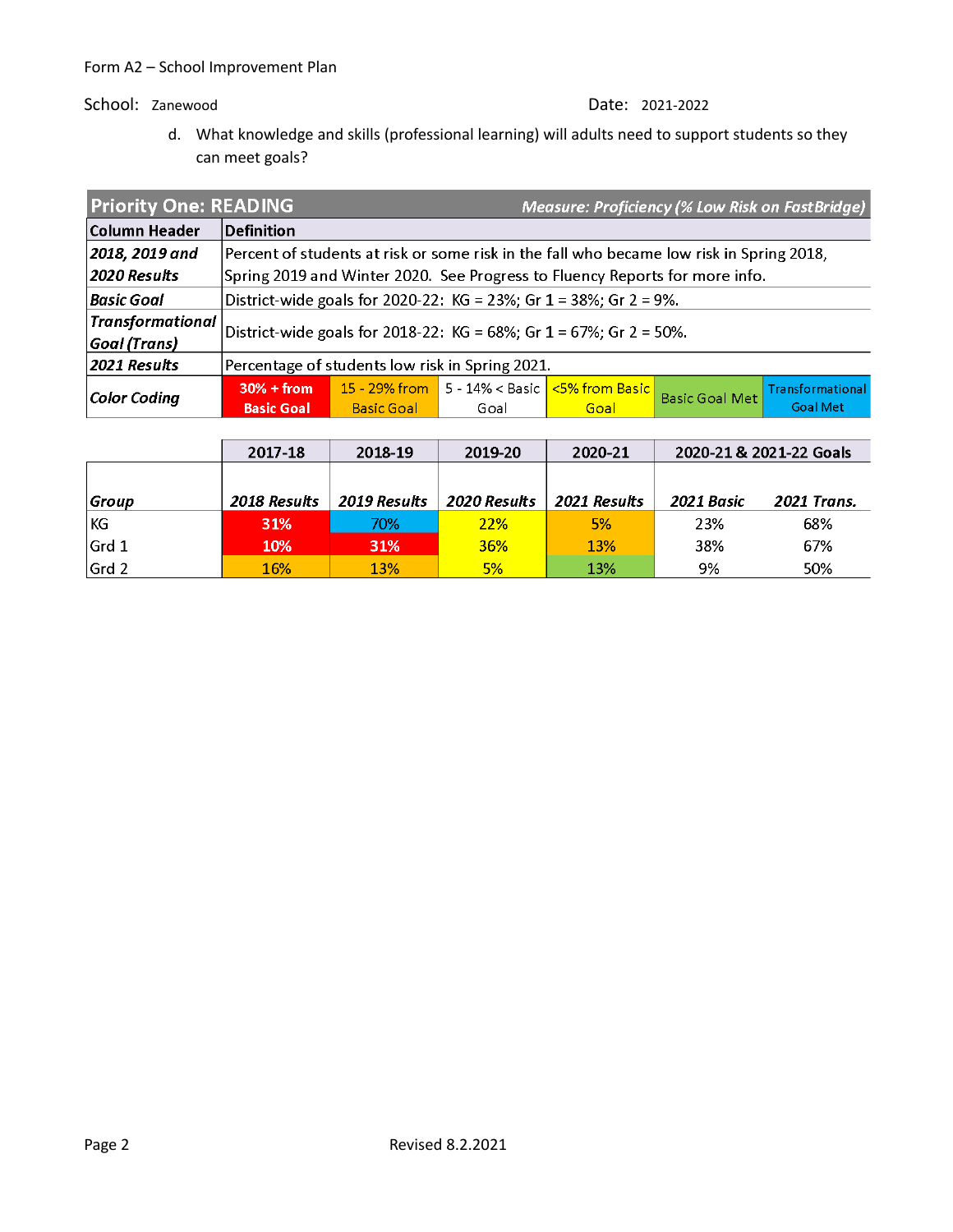d. What knowledge and skills (professional learning) will adults need to support students so they can meet goals?

| <b>Priority One: READING</b> |                                                 |                                                                                          |      | <b>Measure: Proficiency (% Low Risk on FastBridge)</b>                      |                       |                  |  |  |
|------------------------------|-------------------------------------------------|------------------------------------------------------------------------------------------|------|-----------------------------------------------------------------------------|-----------------------|------------------|--|--|
| Column Header                | <b>Definition</b>                               |                                                                                          |      |                                                                             |                       |                  |  |  |
| 2018, 2019 and               |                                                 | Percent of students at risk or some risk in the fall who became low risk in Spring 2018, |      |                                                                             |                       |                  |  |  |
| 2020 Results                 |                                                 |                                                                                          |      | Spring 2019 and Winter 2020. See Progress to Fluency Reports for more info. |                       |                  |  |  |
| Basic Goal                   |                                                 |                                                                                          |      | District-wide goals for 2020-22: KG = 23%; Gr $1 = 38\%$ ; Gr $2 = 9\%$ .   |                       |                  |  |  |
| <b>Transformational</b>      |                                                 |                                                                                          |      | District-wide goals for 2018-22: KG = 68%; Gr 1 = 67%; Gr 2 = 50%.          |                       |                  |  |  |
| Goal (Trans)                 |                                                 |                                                                                          |      |                                                                             |                       |                  |  |  |
| 2021 Results                 | Percentage of students low risk in Spring 2021. |                                                                                          |      |                                                                             |                       |                  |  |  |
| Color Coding                 | $30% + from$                                    |                                                                                          |      |                                                                             | <b>Basic Goal Met</b> | Transformational |  |  |
|                              | <b>Basic Goal</b>                               | <b>Basic Goal</b>                                                                        | Goal | <b>Goal</b>                                                                 |                       | <b>Goal Met</b>  |  |  |

|       | 2017-18             | 2018-19      | 2019-20      | 2020-21      | 2020-21 & 2021-22 Goals |                    |
|-------|---------------------|--------------|--------------|--------------|-------------------------|--------------------|
|       |                     |              |              |              |                         |                    |
| Group | <b>2018 Results</b> | 2019 Results | 2020 Results | 2021 Results | 2021 Basic              | <b>2021 Trans.</b> |
| KG    | <b>31%</b>          | 70%          | <b>22%</b>   | 5%           | 23%                     | 68%                |
| Grd 1 | <b>10%</b>          | 31%          | <b>36%</b>   | <b>13%</b>   | 38%                     | 67%                |
| Grd 2 | 16%                 | <b>13%</b>   | 5%           | 13%          | 9%                      | 50%                |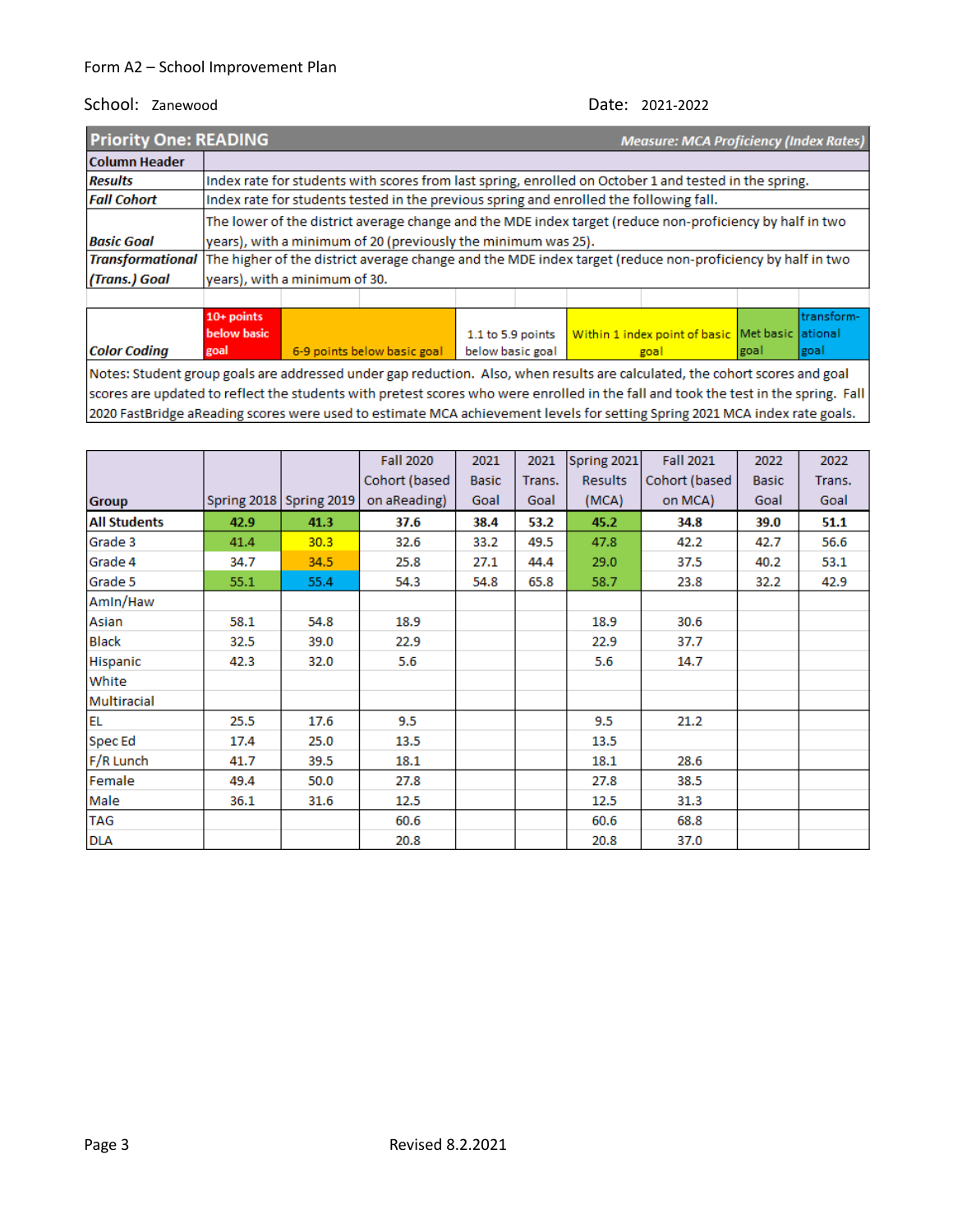| <b>Priority One: READING</b>                                                                                                | <b>Measure: MCA Proficiency (Index Rates)</b> |                                                                      |                                                                                        |                  |  |  |                                                                                                           |      |            |
|-----------------------------------------------------------------------------------------------------------------------------|-----------------------------------------------|----------------------------------------------------------------------|----------------------------------------------------------------------------------------|------------------|--|--|-----------------------------------------------------------------------------------------------------------|------|------------|
| <b>Column Header</b>                                                                                                        |                                               |                                                                      |                                                                                        |                  |  |  |                                                                                                           |      |            |
| <b>Results</b>                                                                                                              |                                               |                                                                      |                                                                                        |                  |  |  | Index rate for students with scores from last spring, enrolled on October 1 and tested in the spring.     |      |            |
| <b>Fall Cohort</b>                                                                                                          |                                               |                                                                      | Index rate for students tested in the previous spring and enrolled the following fall. |                  |  |  |                                                                                                           |      |            |
|                                                                                                                             |                                               |                                                                      |                                                                                        |                  |  |  | The lower of the district average change and the MDE index target (reduce non-proficiency by half in two  |      |            |
| <b>Basic Goal</b>                                                                                                           |                                               |                                                                      | years), with a minimum of 20 (previously the minimum was 25).                          |                  |  |  |                                                                                                           |      |            |
| <b>Transformational</b>                                                                                                     |                                               |                                                                      |                                                                                        |                  |  |  | The higher of the district average change and the MDE index target (reduce non-proficiency by half in two |      |            |
| (Trans.) Goal                                                                                                               |                                               | years), with a minimum of 30.                                        |                                                                                        |                  |  |  |                                                                                                           |      |            |
|                                                                                                                             |                                               |                                                                      |                                                                                        |                  |  |  |                                                                                                           |      |            |
|                                                                                                                             | $10+$ points                                  |                                                                      |                                                                                        |                  |  |  |                                                                                                           |      | transform- |
|                                                                                                                             | below basic                                   | Within 1 index point of basic Met basic ational<br>1.1 to 5.9 points |                                                                                        |                  |  |  |                                                                                                           |      |            |
| <b>Color Coding</b>                                                                                                         | goal                                          |                                                                      | 6-9 points below basic goal                                                            | below basic goal |  |  | goal                                                                                                      | goal | goal       |
| Notes: Student group goals are addressed under gap reduction. Also, when results are calculated, the cohort scores and goal |                                               |                                                                      |                                                                                        |                  |  |  |                                                                                                           |      |            |

scores are updated to reflect the students with pretest scores who were enrolled in the fall and took the test in the spring. Fall 2020 FastBridge aReading scores were used to estimate MCA achievement levels for setting Spring 2021 MCA index rate goals.

|                     |      |                         | <b>Fall 2020</b> | 2021         | 2021   | Spring 2021    | <b>Fall 2021</b> | 2022         | 2022   |
|---------------------|------|-------------------------|------------------|--------------|--------|----------------|------------------|--------------|--------|
|                     |      |                         | Cohort (based    | <b>Basic</b> | Trans. | <b>Results</b> | Cohort (based    | <b>Basic</b> | Trans. |
| <b>Group</b>        |      | Spring 2018 Spring 2019 | on aReading)     | Goal         | Goal   | (MCA)          | on MCA)          | Goal         | Goal   |
| <b>All Students</b> | 42.9 | 41.3                    | 37.6             | 38.4         | 53.2   | 45.2           | 34.8             | 39.0         | 51.1   |
| Grade 3             | 41.4 | 30.3                    | 32.6             | 33.2         | 49.5   | 47.8           | 42.2             | 42.7         | 56.6   |
| Grade 4             | 34.7 | 34.5                    | 25.8             | 27.1         | 44.4   | 29.0           | 37.5             | 40.2         | 53.1   |
| Grade 5             | 55.1 | 55.4                    | 54.3             | 54.8         | 65.8   | 58.7           | 23.8             | 32.2         | 42.9   |
| Amin/Haw            |      |                         |                  |              |        |                |                  |              |        |
| Asian               | 58.1 | 54.8                    | 18.9             |              |        | 18.9           | 30.6             |              |        |
| <b>Black</b>        | 32.5 | 39.0                    | 22.9             |              |        | 22.9           | 37.7             |              |        |
| Hispanic            | 42.3 | 32.0                    | 5.6              |              |        | 5.6            | 14.7             |              |        |
| White               |      |                         |                  |              |        |                |                  |              |        |
| Multiracial         |      |                         |                  |              |        |                |                  |              |        |
| <b>EL</b>           | 25.5 | 17.6                    | 9.5              |              |        | 9.5            | 21.2             |              |        |
| <b>Spec Ed</b>      | 17.4 | 25.0                    | 13.5             |              |        | 13.5           |                  |              |        |
| F/R Lunch           | 41.7 | 39.5                    | 18.1             |              |        | 18.1           | 28.6             |              |        |
| Female              | 49.4 | 50.0                    | 27.8             |              |        | 27.8           | 38.5             |              |        |
| Male                | 36.1 | 31.6                    | 12.5             |              |        | 12.5           | 31.3             |              |        |
| <b>TAG</b>          |      |                         | 60.6             |              |        | 60.6           | 68.8             |              |        |
| <b>DLA</b>          |      |                         | 20.8             |              |        | 20.8           | 37.0             |              |        |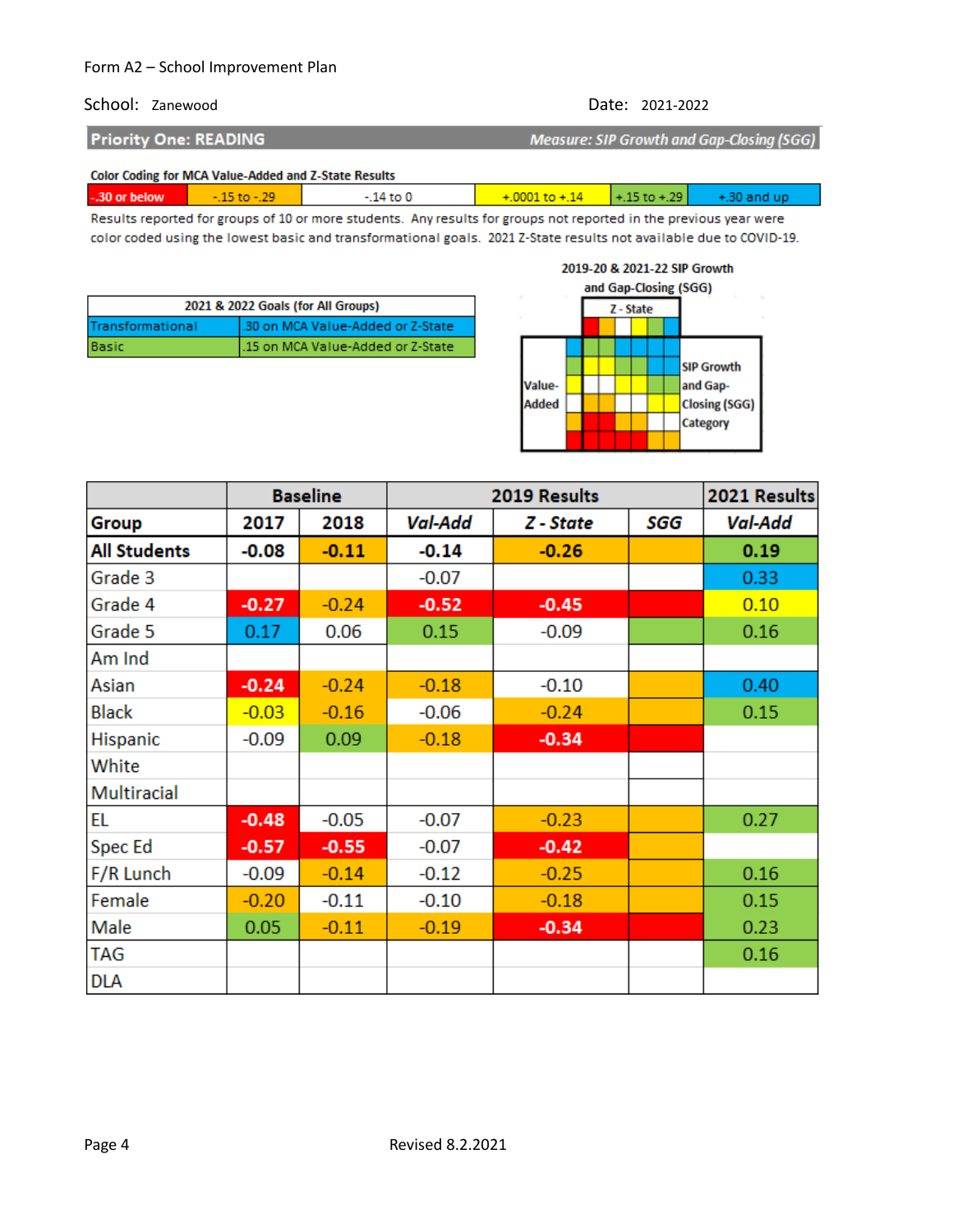### School: Zanewood Date: 2021-2022

**Priority One: READING** 

**Measure: SIP Growth and Gap-Closing (SGG)** 

#### Color Coding for MCA Value-Added and Z-State Results

| -.30 or below | $-15$ to $-29$ | $14$ to $0$ | $+0001$ to $+14$ $+15$ to $+29$ | $+30$ and up |
|---------------|----------------|-------------|---------------------------------|--------------|
|               |                |             |                                 |              |

Results reported for groups of 10 or more students. Any results for groups not reported in the previous year were color coded using the lowest basic and transformational goals. 2021 Z-State results not available due to COVID-19.

| 2021 & 2022 Goals (for All Groups) |                                    |  |  |  |  |
|------------------------------------|------------------------------------|--|--|--|--|
| Transformational                   | 1.30 on MCA Value-Added or Z-State |  |  |  |  |
| Basic                              | 1.15 on MCA Value-Added or Z-State |  |  |  |  |

#### 2019-20 & 2021-22 SIP Growth



|                     |         | <b>Baseline</b> | 2019 Results   |           |     | 2021 Results   |
|---------------------|---------|-----------------|----------------|-----------|-----|----------------|
| Group               | 2017    | 2018            | <b>Val-Add</b> | Z - State | SGG | <b>Val-Add</b> |
| <b>All Students</b> | $-0.08$ | $-0.11$         | $-0.14$        | $-0.26$   |     | 0.19           |
| Grade 3             |         |                 | $-0.07$        |           |     | 0.33           |
| Grade 4             | $-0.27$ | $-0.24$         | $-0.52$        | $-0.45$   |     | 0.10           |
| Grade 5             | 0.17    | 0.06            | 0.15           | $-0.09$   |     | 0.16           |
| Am Ind              |         |                 |                |           |     |                |
| Asian               | $-0.24$ | $-0.24$         | $-0.18$        | $-0.10$   |     | 0.40           |
| <b>Black</b>        | $-0.03$ | $-0.16$         | $-0.06$        | $-0.24$   |     | 0.15           |
| Hispanic            | $-0.09$ | 0.09            | $-0.18$        | $-0.34$   |     |                |
| White               |         |                 |                |           |     |                |
| Multiracial         |         |                 |                |           |     |                |
| EL                  | $-0.48$ | $-0.05$         | $-0.07$        | $-0.23$   |     | 0.27           |
| Spec Ed             | $-0.57$ | $-0.55$         | $-0.07$        | $-0.42$   |     |                |
| F/R Lunch           | $-0.09$ | $-0.14$         | $-0.12$        | $-0.25$   |     | 0.16           |
| Female              | $-0.20$ | $-0.11$         | $-0.10$        | $-0.18$   |     | 0.15           |
| Male                | 0.05    | $-0.11$         | $-0.19$        | $-0.34$   |     | 0.23           |
| <b>TAG</b>          |         |                 |                |           |     | 0.16           |
| <b>DLA</b>          |         |                 |                |           |     |                |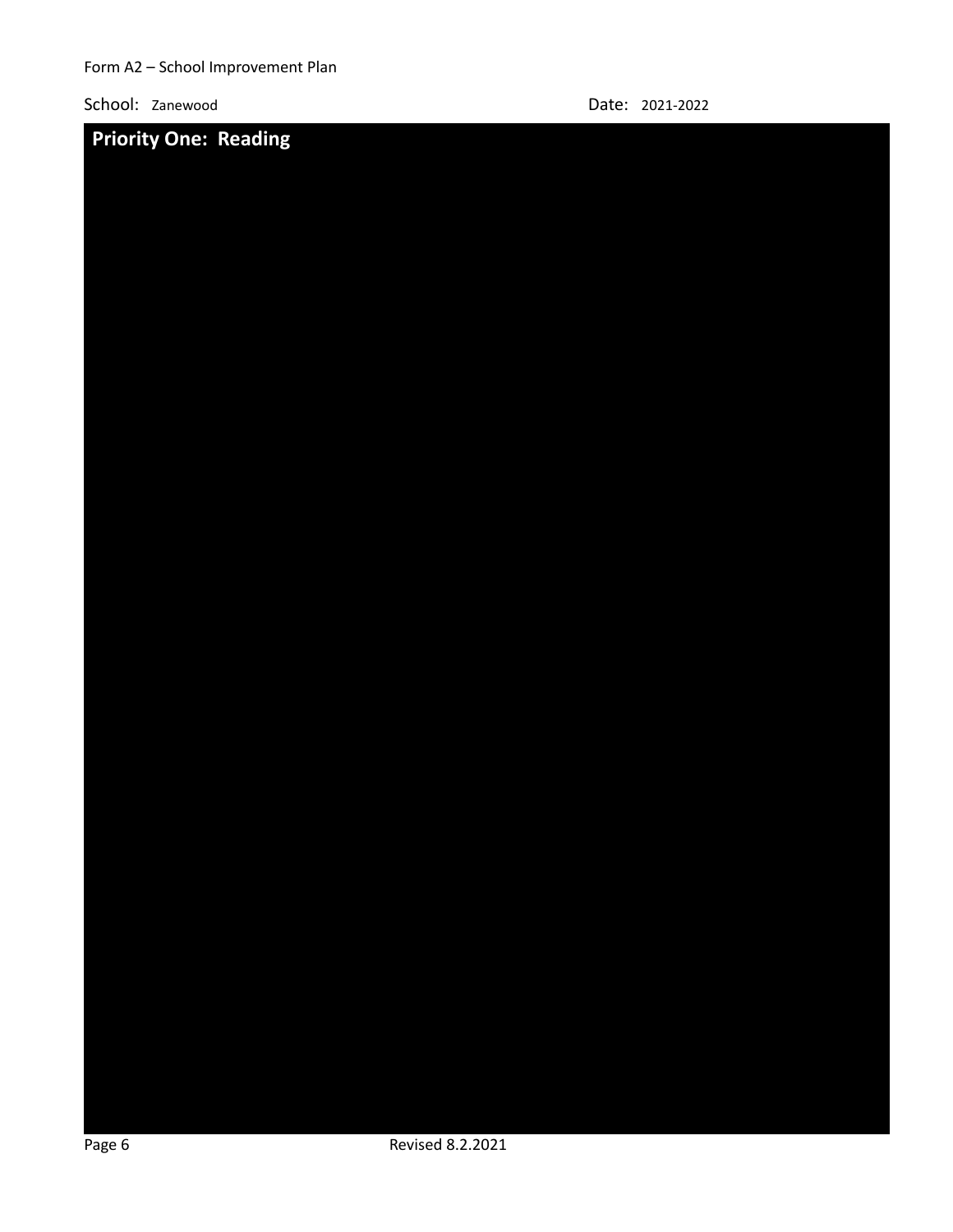

School: Zanewood Date: 2021-2022

| Page 6 |  | Revised 8.2.2021 |  |  |  |
|--------|--|------------------|--|--|--|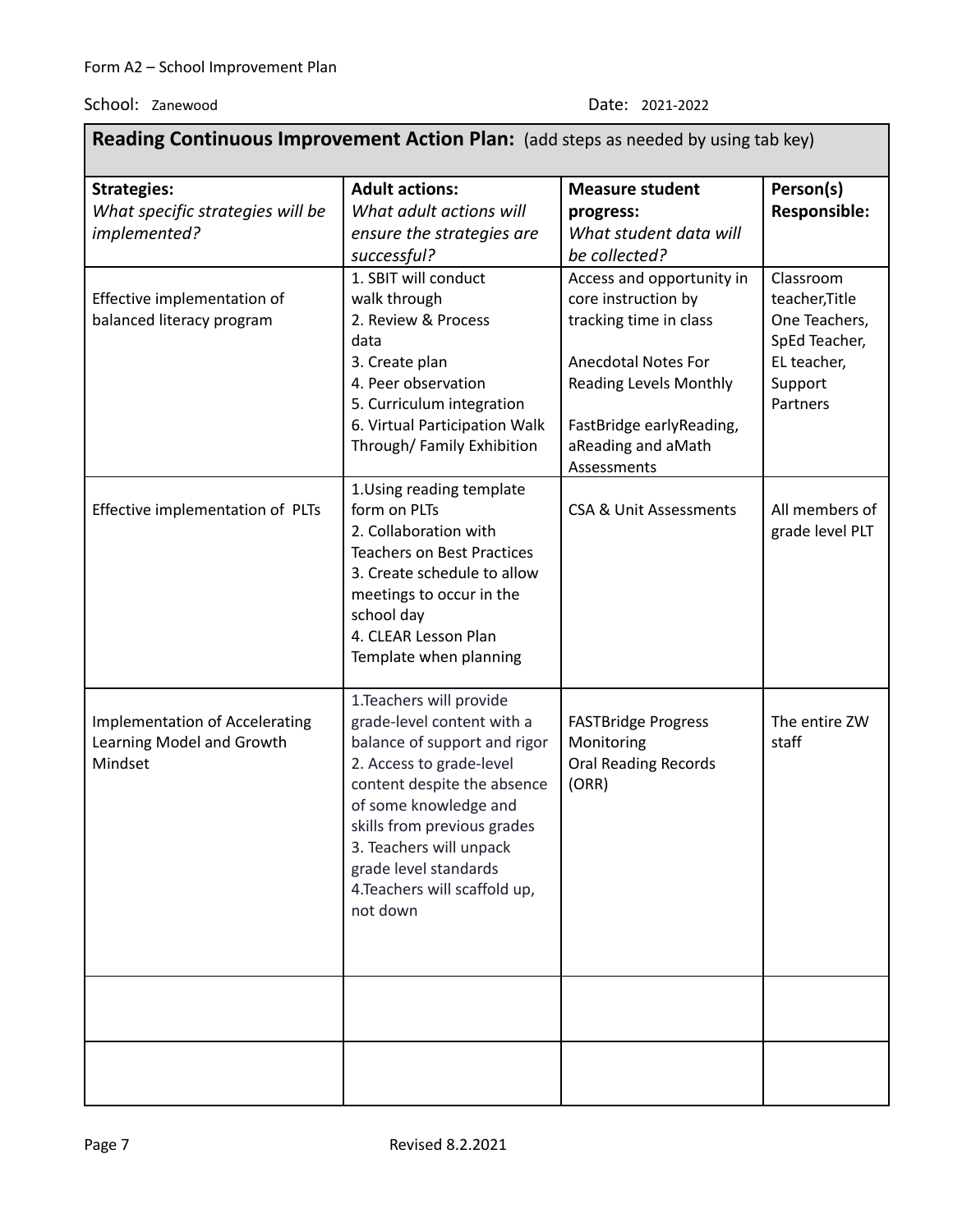| Reading Continuous Improvement Action Plan: (add steps as needed by using tab key) |                                                                                                                                                                                                                                                                                                            |                                                                                                                                                                                                            |                                                                                                     |  |  |  |  |  |
|------------------------------------------------------------------------------------|------------------------------------------------------------------------------------------------------------------------------------------------------------------------------------------------------------------------------------------------------------------------------------------------------------|------------------------------------------------------------------------------------------------------------------------------------------------------------------------------------------------------------|-----------------------------------------------------------------------------------------------------|--|--|--|--|--|
| <b>Strategies:</b><br>What specific strategies will be<br>implemented?             | <b>Adult actions:</b><br>What adult actions will<br>ensure the strategies are<br>successful?                                                                                                                                                                                                               | <b>Measure student</b><br>progress:<br>What student data will<br>be collected?                                                                                                                             | Person(s)<br>Responsible:                                                                           |  |  |  |  |  |
| Effective implementation of<br>balanced literacy program                           | 1. SBIT will conduct<br>walk through<br>2. Review & Process<br>data<br>3. Create plan<br>4. Peer observation<br>5. Curriculum integration<br>6. Virtual Participation Walk<br>Through/Family Exhibition                                                                                                    | Access and opportunity in<br>core instruction by<br>tracking time in class<br><b>Anecdotal Notes For</b><br><b>Reading Levels Monthly</b><br>FastBridge earlyReading,<br>aReading and aMath<br>Assessments | Classroom<br>teacher, Title<br>One Teachers,<br>SpEd Teacher,<br>EL teacher,<br>Support<br>Partners |  |  |  |  |  |
| Effective implementation of PLTs                                                   | 1. Using reading template<br>form on PLTs<br>2. Collaboration with<br><b>Teachers on Best Practices</b><br>3. Create schedule to allow<br>meetings to occur in the<br>school day<br>4. CLEAR Lesson Plan<br>Template when planning                                                                         | <b>CSA &amp; Unit Assessments</b>                                                                                                                                                                          | All members of<br>grade level PLT                                                                   |  |  |  |  |  |
| <b>Implementation of Accelerating</b><br>Learning Model and Growth<br>Mindset      | 1. Teachers will provide<br>grade-level content with a<br>balance of support and rigor<br>2. Access to grade-level<br>content despite the absence<br>of some knowledge and<br>skills from previous grades<br>3. Teachers will unpack<br>grade level standards<br>4. Teachers will scaffold up,<br>not down | <b>FASTBridge Progress</b><br>Monitoring<br><b>Oral Reading Records</b><br>(ORR)                                                                                                                           | The entire ZW<br>staff                                                                              |  |  |  |  |  |
|                                                                                    |                                                                                                                                                                                                                                                                                                            |                                                                                                                                                                                                            |                                                                                                     |  |  |  |  |  |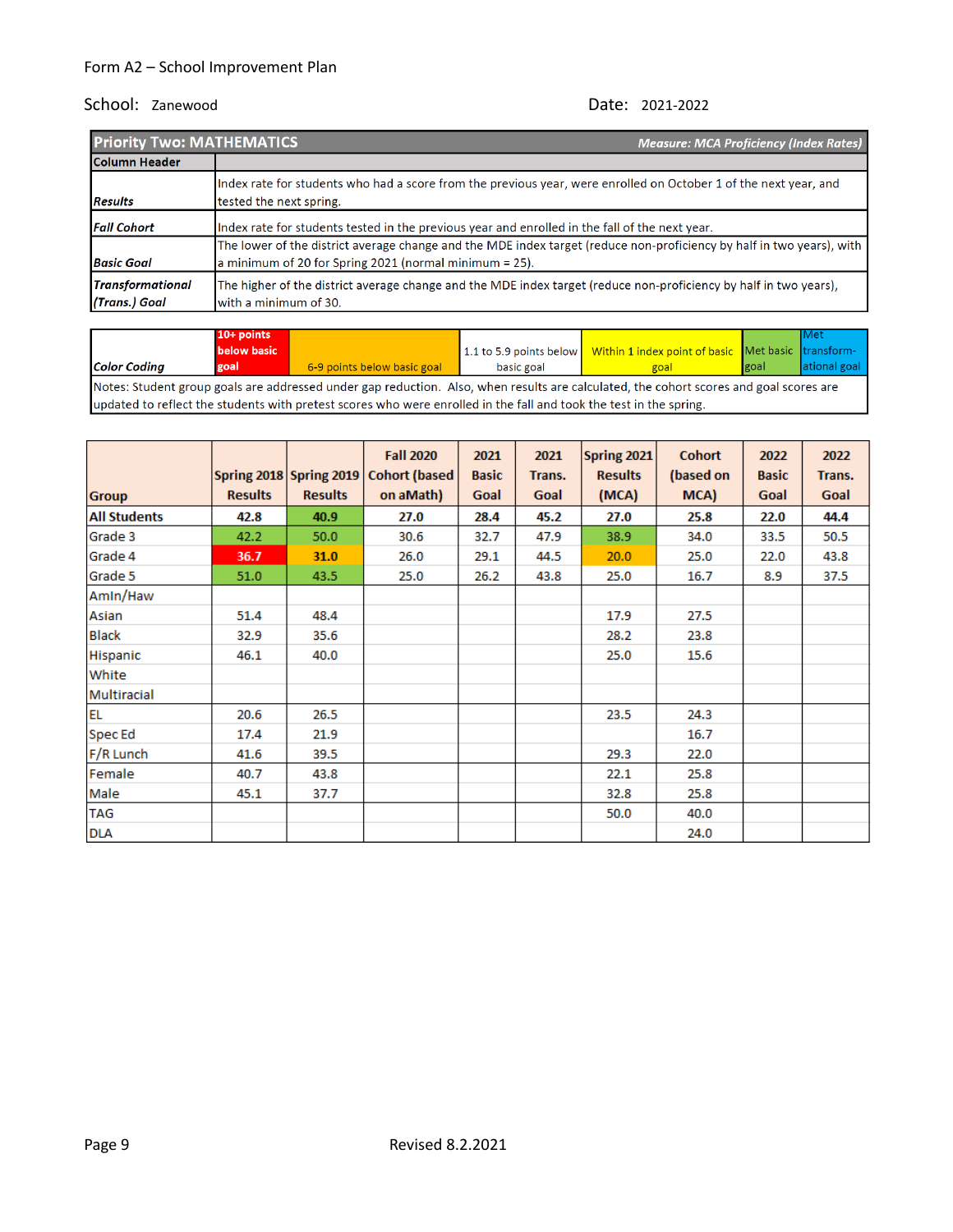| <b>Priority Two: MATHEMATICS</b>         | <b>Measure: MCA Proficiency (Index Rates)</b>                                                                                                                                      |
|------------------------------------------|------------------------------------------------------------------------------------------------------------------------------------------------------------------------------------|
| Column Header                            |                                                                                                                                                                                    |
| <b>Results</b>                           | Index rate for students who had a score from the previous year, were enrolled on October 1 of the next year, and<br>tested the next spring.                                        |
| <b>Fall Cohort</b>                       | Index rate for students tested in the previous year and enrolled in the fall of the next year.                                                                                     |
| <b>Basic Goal</b>                        | The lower of the district average change and the MDE index target (reduce non-proficiency by half in two years), with<br>a minimum of 20 for Spring 2021 (normal minimum $= 25$ ). |
| <b>Transformational</b><br>(Trans.) Goal | The higher of the district average change and the MDE index target (reduce non-proficiency by half in two years),<br>with a minimum of 30.                                         |

|                                                                                                                                        | $10+$ points                                                                                                        |                             |            |                                                                            |             | <b>I</b> Met |
|----------------------------------------------------------------------------------------------------------------------------------------|---------------------------------------------------------------------------------------------------------------------|-----------------------------|------------|----------------------------------------------------------------------------|-------------|--------------|
|                                                                                                                                        | <b>below basic</b>                                                                                                  |                             |            | 1.1 to 5.9 points below Within 1 index point of basic Met basic transform- |             |              |
| <b>Color Coding</b>                                                                                                                    | goal                                                                                                                | 6-9 points below basic goal | basic goal | goal                                                                       | <b>goal</b> | ational goal |
| Notes: Student group goals are addressed under gap reduction. Also, when results are calculated, the cohort scores and goal scores are |                                                                                                                     |                             |            |                                                                            |             |              |
|                                                                                                                                        | lupdated to reflect the students with pretest scores who were enrolled in the fall and took the test in the spring. |                             |            |                                                                            |             |              |

|                     |                |                         | <b>Fall 2020</b>      | 2021         | 2021   | Spring 2021    | <b>Cohort</b> | 2022         | 2022   |
|---------------------|----------------|-------------------------|-----------------------|--------------|--------|----------------|---------------|--------------|--------|
|                     |                | Spring 2018 Spring 2019 | <b>Cohort (based)</b> | <b>Basic</b> | Trans. | <b>Results</b> | (based on     | <b>Basic</b> | Trans. |
| <b>Group</b>        | <b>Results</b> | <b>Results</b>          | on aMath)             | Goal         | Goal   | (MCA)          | MCA)          | Goal         | Goal   |
| <b>All Students</b> | 42.8           | 40.9                    | 27.0                  | 28.4         | 45.2   | 27.0           | 25.8          | 22.0         | 44.4   |
| Grade 3             | 42.2           | 50.0                    | 30.6                  | 32.7         | 47.9   | 38.9           | 34.0          | 33.5         | 50.5   |
| Grade 4             | 36.7           | 31.0                    | 26.0                  | 29.1         | 44.5   | 20.0           | 25.0          | 22.0         | 43.8   |
| Grade 5             | 51.0           | 43.5                    | 25.0                  | 26.2         | 43.8   | 25.0           | 16.7          | 8.9          | 37.5   |
| Amin/Haw            |                |                         |                       |              |        |                |               |              |        |
| Asian               | 51.4           | 48.4                    |                       |              |        | 17.9           | 27.5          |              |        |
| <b>Black</b>        | 32.9           | 35.6                    |                       |              |        | 28.2           | 23.8          |              |        |
| Hispanic            | 46.1           | 40.0                    |                       |              |        | 25.0           | 15.6          |              |        |
| White               |                |                         |                       |              |        |                |               |              |        |
| Multiracial         |                |                         |                       |              |        |                |               |              |        |
| <b>EL</b>           | 20.6           | 26.5                    |                       |              |        | 23.5           | 24.3          |              |        |
| Spec Ed             | 17.4           | 21.9                    |                       |              |        |                | 16.7          |              |        |
| F/R Lunch           | 41.6           | 39.5                    |                       |              |        | 29.3           | 22.0          |              |        |
| Female              | 40.7           | 43.8                    |                       |              |        | 22.1           | 25.8          |              |        |
| Male                | 45.1           | 37.7                    |                       |              |        | 32.8           | 25.8          |              |        |
| <b>TAG</b>          |                |                         |                       |              |        | 50.0           | 40.0          |              |        |
| <b>DLA</b>          |                |                         |                       |              |        |                | 24.0          |              |        |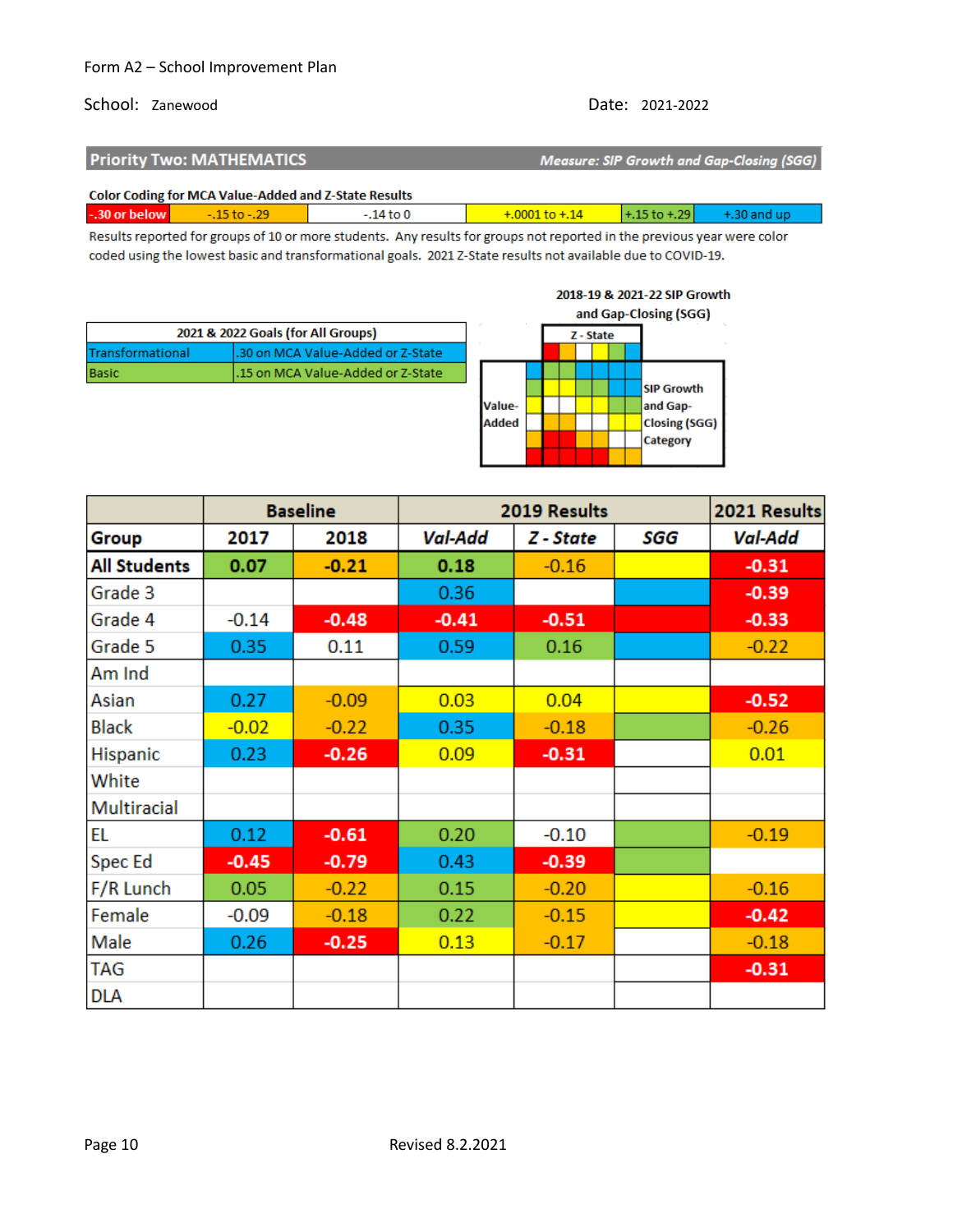# School: Zanewood Date: 2021-2022

| <b>Priority Two: MATHEMATICS</b> | Measure: SIP Growth and Gap-Closing (SGG) |
|----------------------------------|-------------------------------------------|
|                                  |                                           |

|                               | <b>Color Coding for MCA Value-Added and Z-State Results</b> |              |                                                       |  |
|-------------------------------|-------------------------------------------------------------|--------------|-------------------------------------------------------|--|
| $-30$ or below $\blacksquare$ | $-15$ to $-29$                                              | $-14$ to $0$ | $+0.001$ to $+0.14$ $+0.15$ to $+0.29$ $+0.30$ and up |  |

Results reported for groups of 10 or more students. Any results for groups not reported in the previous year were color coded using the lowest basic and transformational goals. 2021 Z-State results not available due to COVID-19.



|                     | <b>Baseline</b> |         | 2019 Results   | 2021 Results |     |                |
|---------------------|-----------------|---------|----------------|--------------|-----|----------------|
| Group               | 2017            | 2018    | <b>Val-Add</b> | Z - State    | SGG | <b>Val-Add</b> |
| <b>All Students</b> | 0.07            | $-0.21$ | 0.18           | $-0.16$      |     | $-0.31$        |
| Grade 3             |                 |         | 0.36           |              |     | $-0.39$        |
| Grade 4             | $-0.14$         | $-0.48$ | $-0.41$        | $-0.51$      |     | $-0.33$        |
| Grade 5             | 0.35            | 0.11    | 0.59           | 0.16         |     | $-0.22$        |
| Am Ind              |                 |         |                |              |     |                |
| Asian               | 0.27            | $-0.09$ | 0.03           | 0.04         |     | $-0.52$        |
| <b>Black</b>        | $-0.02$         | $-0.22$ | 0.35           | $-0.18$      |     | $-0.26$        |
| Hispanic            | 0.23            | $-0.26$ | 0.09           | $-0.31$      |     | 0.01           |
| White               |                 |         |                |              |     |                |
| <b>Multiracial</b>  |                 |         |                |              |     |                |
| EL                  | 0.12            | $-0.61$ | 0.20           | $-0.10$      |     | $-0.19$        |
| Spec Ed             | $-0.45$         | $-0.79$ | 0.43           | $-0.39$      |     |                |
| F/R Lunch           | 0.05            | $-0.22$ | 0.15           | $-0.20$      |     | $-0.16$        |
| Female              | $-0.09$         | $-0.18$ | 0.22           | $-0.15$      |     | $-0.42$        |
| Male                | 0.26            | $-0.25$ | 0.13           | $-0.17$      |     | $-0.18$        |
| <b>TAG</b>          |                 |         |                |              |     | $-0.31$        |
| <b>DLA</b>          |                 |         |                |              |     |                |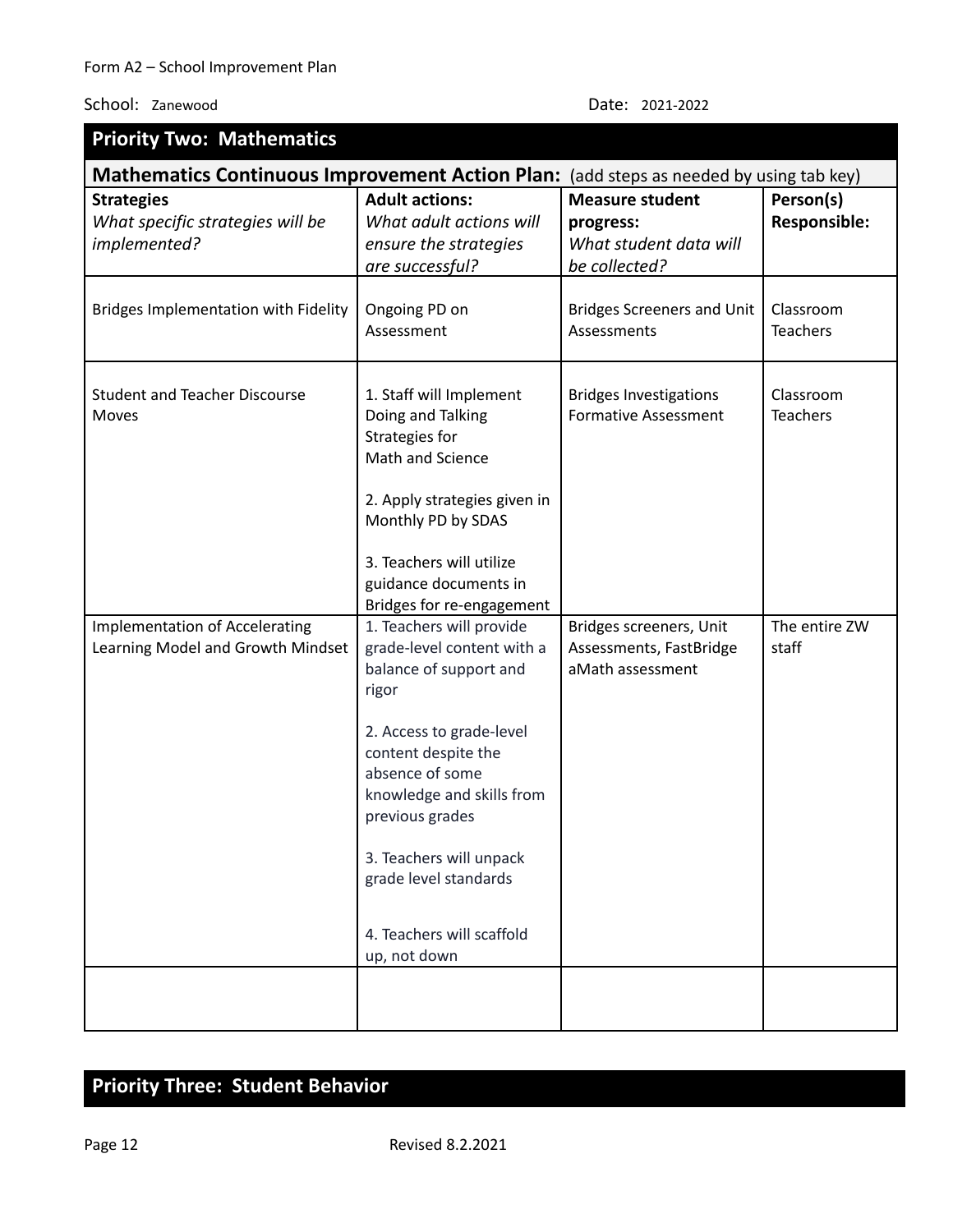| <b>Priority Two: Mathematics</b>                                                       |                                                                                                                                                                                                                                                                      |                                                                        |                              |  |
|----------------------------------------------------------------------------------------|----------------------------------------------------------------------------------------------------------------------------------------------------------------------------------------------------------------------------------------------------------------------|------------------------------------------------------------------------|------------------------------|--|
| Mathematics Continuous Improvement Action Plan: (add steps as needed by using tab key) |                                                                                                                                                                                                                                                                      |                                                                        |                              |  |
| <b>Strategies</b>                                                                      | <b>Adult actions:</b>                                                                                                                                                                                                                                                | <b>Measure student</b>                                                 | Person(s)                    |  |
| What specific strategies will be                                                       | What adult actions will                                                                                                                                                                                                                                              | progress:                                                              | <b>Responsible:</b>          |  |
| implemented?                                                                           | ensure the strategies                                                                                                                                                                                                                                                | What student data will                                                 |                              |  |
|                                                                                        | are successful?                                                                                                                                                                                                                                                      | be collected?                                                          |                              |  |
| Bridges Implementation with Fidelity                                                   | Ongoing PD on<br>Assessment                                                                                                                                                                                                                                          | <b>Bridges Screeners and Unit</b><br>Assessments                       | Classroom<br><b>Teachers</b> |  |
| <b>Student and Teacher Discourse</b><br><b>Moves</b>                                   | 1. Staff will Implement<br>Doing and Talking<br>Strategies for<br>Math and Science<br>2. Apply strategies given in<br>Monthly PD by SDAS<br>3. Teachers will utilize<br>guidance documents in                                                                        | <b>Bridges Investigations</b><br><b>Formative Assessment</b>           | Classroom<br><b>Teachers</b> |  |
|                                                                                        | Bridges for re-engagement<br>1. Teachers will provide                                                                                                                                                                                                                |                                                                        | The entire ZW                |  |
| <b>Implementation of Accelerating</b><br>Learning Model and Growth Mindset             | grade-level content with a<br>balance of support and<br>rigor<br>2. Access to grade-level<br>content despite the<br>absence of some<br>knowledge and skills from<br>previous grades<br>3. Teachers will unpack<br>grade level standards<br>4. Teachers will scaffold | Bridges screeners, Unit<br>Assessments, FastBridge<br>aMath assessment | staff                        |  |
|                                                                                        | up, not down                                                                                                                                                                                                                                                         |                                                                        |                              |  |
|                                                                                        |                                                                                                                                                                                                                                                                      |                                                                        |                              |  |

# **Priority Three: Student Behavior**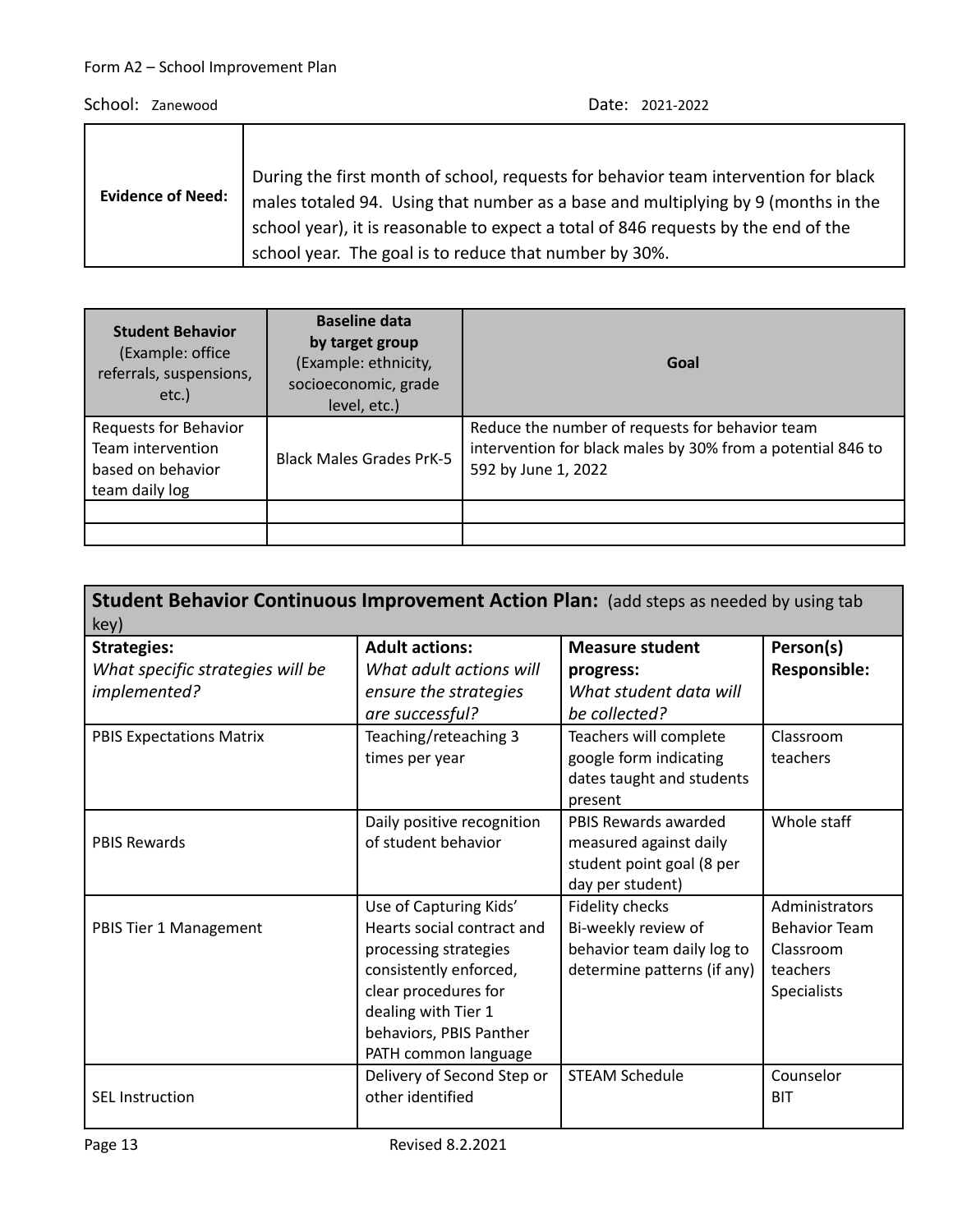| <b>Evidence of Need:</b> | During the first month of school, requests for behavior team intervention for black<br>males totaled 94. Using that number as a base and multiplying by 9 (months in the<br>school year), it is reasonable to expect a total of 846 requests by the end of the<br>school year. The goal is to reduce that number by 30%. |
|--------------------------|--------------------------------------------------------------------------------------------------------------------------------------------------------------------------------------------------------------------------------------------------------------------------------------------------------------------------|
|--------------------------|--------------------------------------------------------------------------------------------------------------------------------------------------------------------------------------------------------------------------------------------------------------------------------------------------------------------------|

| <b>Student Behavior</b><br>(Example: office<br>referrals, suspensions,<br>$etc.$ ) | <b>Baseline data</b><br>by target group<br>(Example: ethnicity,<br>socioeconomic, grade<br>level, etc.) | Goal                                                                                                                                  |
|------------------------------------------------------------------------------------|---------------------------------------------------------------------------------------------------------|---------------------------------------------------------------------------------------------------------------------------------------|
| Requests for Behavior<br>Team intervention<br>based on behavior<br>team daily log  | <b>Black Males Grades PrK-5</b>                                                                         | Reduce the number of requests for behavior team<br>intervention for black males by 30% from a potential 846 to<br>592 by June 1, 2022 |
|                                                                                    |                                                                                                         |                                                                                                                                       |

| key)                                                                   | Student Behavior Continuous Improvement Action Plan: (add steps as needed by using tab                                                                                                                    |                                                                                                     |                                                                                       |  |  |
|------------------------------------------------------------------------|-----------------------------------------------------------------------------------------------------------------------------------------------------------------------------------------------------------|-----------------------------------------------------------------------------------------------------|---------------------------------------------------------------------------------------|--|--|
| <b>Strategies:</b><br>What specific strategies will be<br>implemented? | <b>Adult actions:</b><br>What adult actions will<br>ensure the strategies<br>are successful?                                                                                                              | <b>Measure student</b><br>progress:<br>What student data will<br>be collected?                      | Person(s)<br>Responsible:                                                             |  |  |
| <b>PBIS Expectations Matrix</b>                                        | Teaching/reteaching 3<br>times per year                                                                                                                                                                   | Teachers will complete<br>google form indicating<br>dates taught and students<br>present            | Classroom<br>teachers                                                                 |  |  |
| <b>PBIS Rewards</b>                                                    | Daily positive recognition<br>of student behavior                                                                                                                                                         | PBIS Rewards awarded<br>measured against daily<br>student point goal (8 per<br>day per student)     | Whole staff                                                                           |  |  |
| PBIS Tier 1 Management                                                 | Use of Capturing Kids'<br>Hearts social contract and<br>processing strategies<br>consistently enforced,<br>clear procedures for<br>dealing with Tier 1<br>behaviors, PBIS Panther<br>PATH common language | Fidelity checks<br>Bi-weekly review of<br>behavior team daily log to<br>determine patterns (if any) | Administrators<br><b>Behavior Team</b><br>Classroom<br>teachers<br><b>Specialists</b> |  |  |
| <b>SEL Instruction</b>                                                 | Delivery of Second Step or<br>other identified                                                                                                                                                            | <b>STEAM Schedule</b>                                                                               | Counselor<br><b>BIT</b>                                                               |  |  |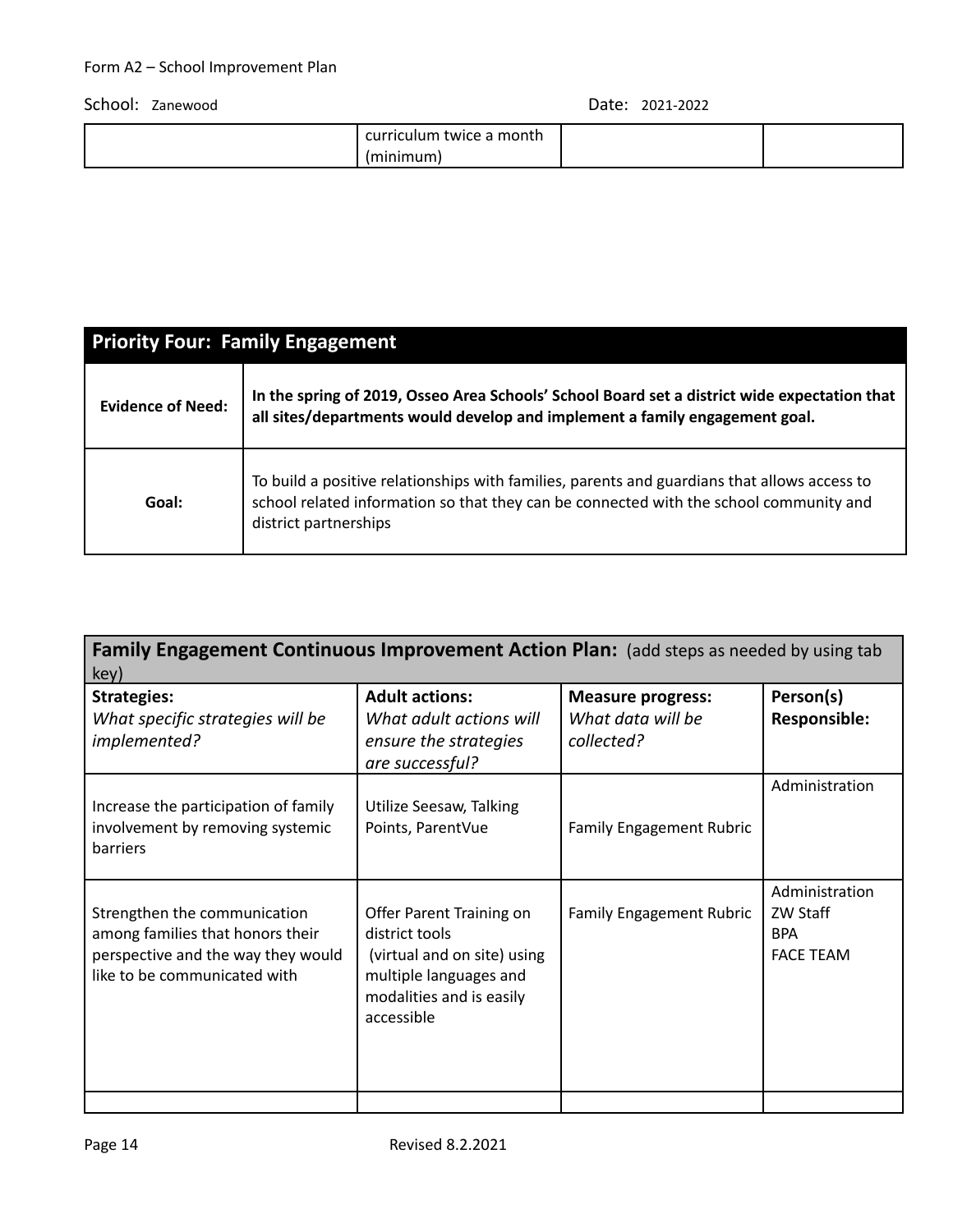| twice a month<br>rıculum:<br>cur |  |
|----------------------------------|--|
| (minimum)                        |  |

| <b>Priority Four: Family Engagement</b> |                                                                                                                                                                                                                 |  |  |  |
|-----------------------------------------|-----------------------------------------------------------------------------------------------------------------------------------------------------------------------------------------------------------------|--|--|--|
| <b>Evidence of Need:</b>                | In the spring of 2019, Osseo Area Schools' School Board set a district wide expectation that<br>all sites/departments would develop and implement a family engagement goal.                                     |  |  |  |
| Goal:                                   | To build a positive relationships with families, parents and guardians that allows access to<br>school related information so that they can be connected with the school community and<br>district partnerships |  |  |  |

| Family Engagement Continuous Improvement Action Plan: (add steps as needed by using tab<br>key)                                        |                                                                                                                                               |                                                             |                                                              |  |  |  |
|----------------------------------------------------------------------------------------------------------------------------------------|-----------------------------------------------------------------------------------------------------------------------------------------------|-------------------------------------------------------------|--------------------------------------------------------------|--|--|--|
| <b>Strategies:</b><br>What specific strategies will be<br>implemented?                                                                 | <b>Adult actions:</b><br>What adult actions will<br>ensure the strategies<br>are successful?                                                  | <b>Measure progress:</b><br>What data will be<br>collected? | Person(s)<br><b>Responsible:</b>                             |  |  |  |
| Increase the participation of family<br>involvement by removing systemic<br>barriers                                                   | Utilize Seesaw, Talking<br>Points, ParentVue                                                                                                  | <b>Family Engagement Rubric</b>                             | Administration                                               |  |  |  |
| Strengthen the communication<br>among families that honors their<br>perspective and the way they would<br>like to be communicated with | Offer Parent Training on<br>district tools<br>(virtual and on site) using<br>multiple languages and<br>modalities and is easily<br>accessible | <b>Family Engagement Rubric</b>                             | Administration<br>ZW Staff<br><b>BPA</b><br><b>FACE TEAM</b> |  |  |  |